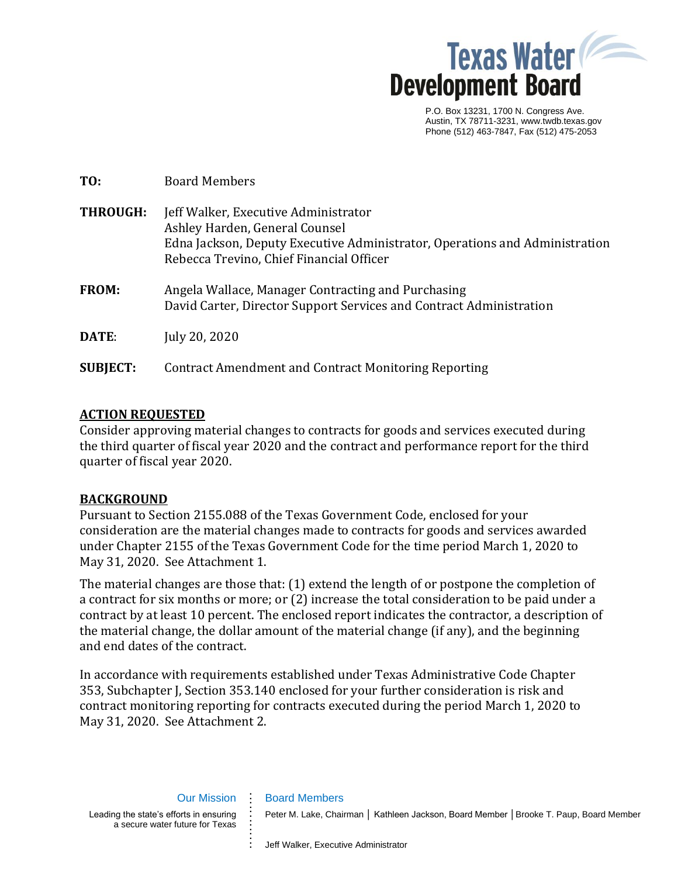

P.O. Box 13231, 1700 N. Congress Ave. Austin, TX 78711-3231, www.twdb.texas.gov Phone (512) 463-7847, Fax (512) 475-2053

| TO:             | <b>Board Members</b>                                                                                                                                                                              |
|-----------------|---------------------------------------------------------------------------------------------------------------------------------------------------------------------------------------------------|
| <b>THROUGH:</b> | Jeff Walker, Executive Administrator<br>Ashley Harden, General Counsel<br>Edna Jackson, Deputy Executive Administrator, Operations and Administration<br>Rebecca Trevino, Chief Financial Officer |
| <b>FROM:</b>    | Angela Wallace, Manager Contracting and Purchasing<br>David Carter, Director Support Services and Contract Administration                                                                         |
| DATE:           | July 20, 2020                                                                                                                                                                                     |
| <b>SUBJECT:</b> | Contract Amendment and Contract Monitoring Reporting                                                                                                                                              |

### **ACTION REQUESTED**

Consider approving material changes to contracts for goods and services executed during the third quarter of fiscal year 2020 and the contract and performance report for the third quarter of fiscal year 2020.

### **BACKGROUND**

Pursuant to Section 2155.088 of the Texas Government Code, enclosed for your consideration are the material changes made to contracts for goods and services awarded under Chapter 2155 of the Texas Government Code for the time period March 1, 2020 to May 31, 2020. See Attachment 1.

The material changes are those that: (1) extend the length of or postpone the completion of a contract for six months or more; or (2) increase the total consideration to be paid under a contract by at least 10 percent. The enclosed report indicates the contractor, a description of the material change, the dollar amount of the material change (if any), and the beginning and end dates of the contract.

In accordance with requirements established under Texas Administrative Code Chapter 353, Subchapter J, Section 353.140 enclosed for your further consideration is risk and contract monitoring reporting for contracts executed during the period March 1, 2020 to May 31, 2020. See Attachment 2.

Our Mission Leading the state's efforts in ensuring a secure water future for Texas

**. . . . . . . . . . . . .**

Peter M. Lake, Chairman | Kathleen Jackson, Board Member | Brooke T. Paup, Board Member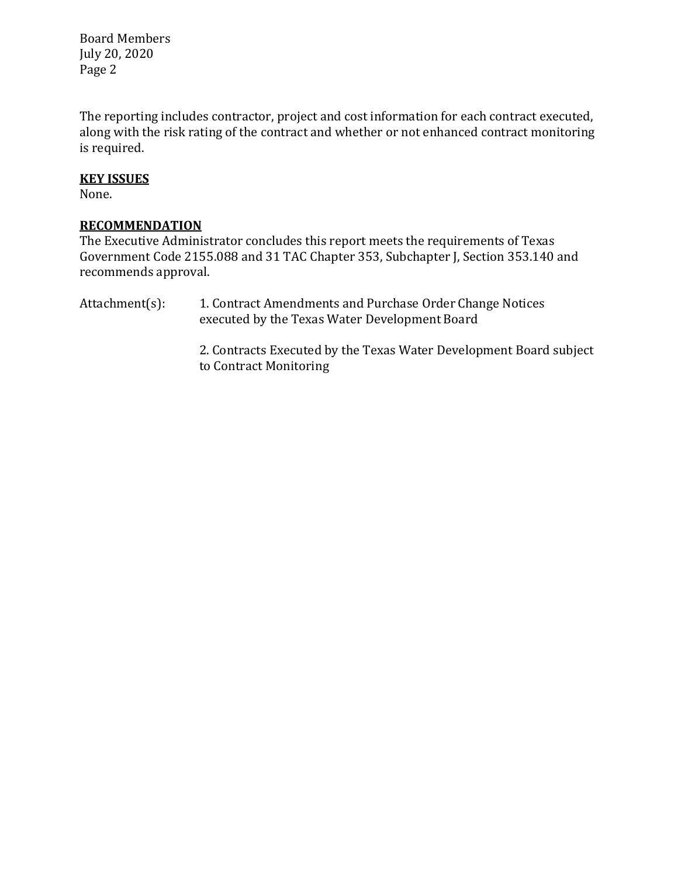Board Members July 20, 2020 Page 2

The reporting includes contractor, project and cost information for each contract executed, along with the risk rating of the contract and whether or not enhanced contract monitoring is required.

### **KEY ISSUES**

None.

### **RECOMMENDATION**

The Executive Administrator concludes this report meets the requirements of Texas Government Code 2155.088 and 31 TAC Chapter 353, Subchapter J, Section 353.140 and recommends approval.

Attachment(s): 1. Contract Amendments and Purchase Order Change Notices executed by the Texas Water Development Board

> 2. Contracts Executed by the Texas Water Development Board subject to Contract Monitoring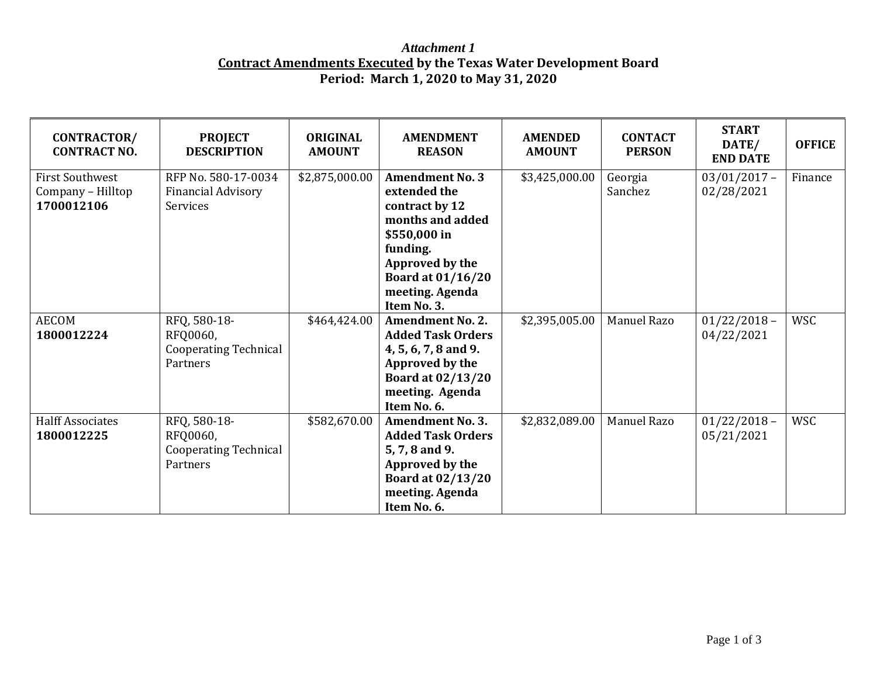# *Attachment 1* **Contract Amendments Executed by the Texas Water Development Board Period: March 1, 2020 to May 31, 2020**

| CONTRACTOR/<br><b>CONTRACT NO.</b>                        | <b>PROJECT</b><br><b>DESCRIPTION</b>                                 | <b>ORIGINAL</b><br><b>AMOUNT</b> | <b>AMENDMENT</b><br><b>REASON</b>                                                                                                                                                         | <b>AMENDED</b><br><b>AMOUNT</b> | <b>CONTACT</b><br><b>PERSON</b> | <b>START</b><br>DATE/<br><b>END DATE</b> | <b>OFFICE</b> |
|-----------------------------------------------------------|----------------------------------------------------------------------|----------------------------------|-------------------------------------------------------------------------------------------------------------------------------------------------------------------------------------------|---------------------------------|---------------------------------|------------------------------------------|---------------|
| <b>First Southwest</b><br>Company - Hilltop<br>1700012106 | RFP No. 580-17-0034<br><b>Financial Advisory</b><br>Services         | \$2,875,000.00                   | <b>Amendment No. 3</b><br>extended the<br>contract by 12<br>months and added<br>\$550,000 in<br>funding.<br>Approved by the<br><b>Board at 01/16/20</b><br>meeting. Agenda<br>Item No. 3. | \$3,425,000.00                  | Georgia<br>Sanchez              | $03/01/2017 -$<br>02/28/2021             | Finance       |
| <b>AECOM</b><br>1800012224                                | RFQ, 580-18-<br>RFQ0060,<br><b>Cooperating Technical</b><br>Partners | \$464,424.00                     | <b>Amendment No. 2.</b><br><b>Added Task Orders</b><br>4, 5, 6, 7, 8 and 9.<br>Approved by the<br><b>Board at 02/13/20</b><br>meeting. Agenda<br>Item No. 6.                              | \$2,395,005.00                  | Manuel Razo                     | $01/22/2018 -$<br>04/22/2021             | <b>WSC</b>    |
| <b>Halff Associates</b><br>1800012225                     | RFQ, 580-18-<br>RFQ0060,<br><b>Cooperating Technical</b><br>Partners | \$582,670.00                     | <b>Amendment No. 3.</b><br><b>Added Task Orders</b><br>5, 7, 8 and 9.<br>Approved by the<br><b>Board at 02/13/20</b><br>meeting. Agenda<br>Item No. 6.                                    | \$2,832,089.00                  | Manuel Razo                     | $01/22/2018 -$<br>05/21/2021             | <b>WSC</b>    |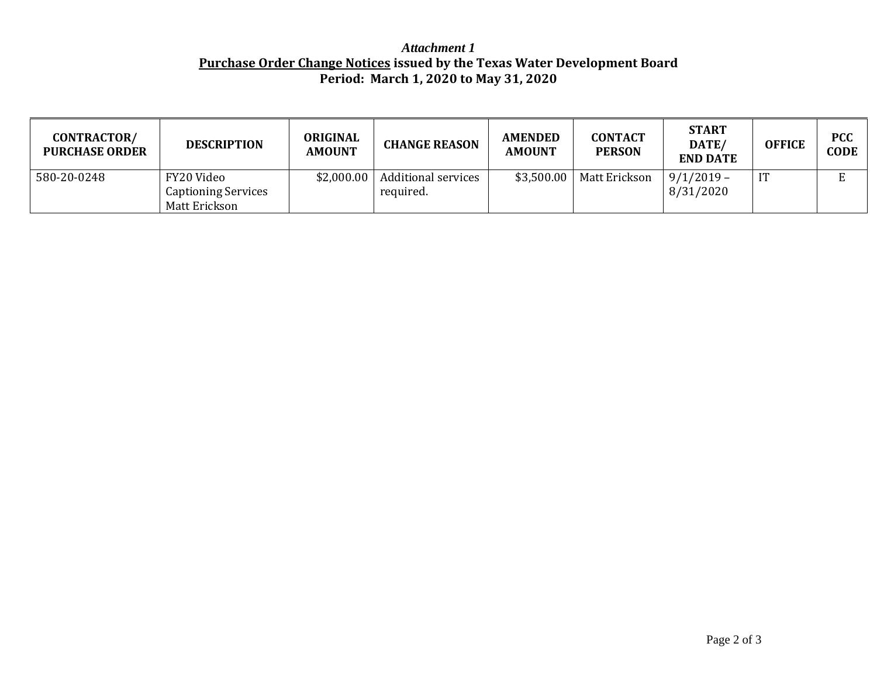# *Attachment 1* **Purchase Order Change Notices issued by the Texas Water Development Board Period: March 1, 2020 to May 31, 2020**

| <b>CONTRACTOR/</b><br><b>PURCHASE ORDER</b> | <b>DESCRIPTION</b>                                        | <b>ORIGINAL</b><br><b>AMOUNT</b> | <b>CHANGE REASON</b>                    | <b>AMENDED</b><br><b>AMOUNT</b> | <b>CONTACT</b><br><b>PERSON</b> | <b>START</b><br>DATE/<br><b>END DATE</b> | <b>OFFICE</b> | <b>PCC</b><br><b>CODE</b> |
|---------------------------------------------|-----------------------------------------------------------|----------------------------------|-----------------------------------------|---------------------------------|---------------------------------|------------------------------------------|---------------|---------------------------|
| 580-20-0248                                 | FY20 Video<br><b>Captioning Services</b><br>Matt Erickson | \$2,000.00                       | <b>Additional services</b><br>required. | \$3,500.00                      | Matt Erickson                   | $9/1/2019 -$<br>8/31/2020                | IT            |                           |